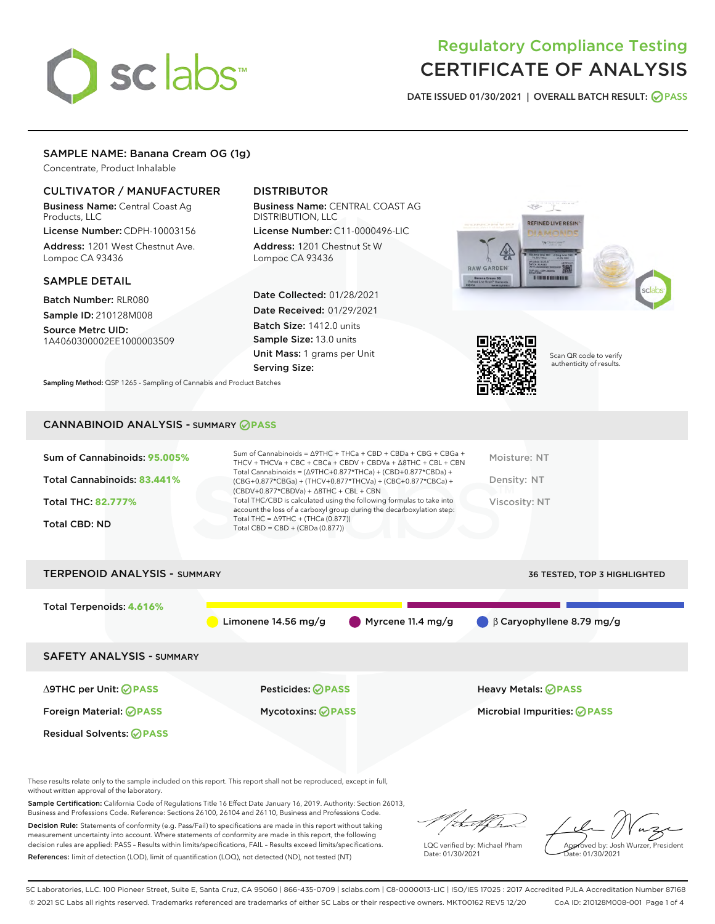# sclabs<sup>\*</sup>

# Regulatory Compliance Testing CERTIFICATE OF ANALYSIS

DATE ISSUED 01/30/2021 | OVERALL BATCH RESULT: @ PASS

# SAMPLE NAME: Banana Cream OG (1g)

Concentrate, Product Inhalable

# CULTIVATOR / MANUFACTURER

Business Name: Central Coast Ag Products, LLC

License Number: CDPH-10003156 Address: 1201 West Chestnut Ave. Lompoc CA 93436

## SAMPLE DETAIL

Batch Number: RLR080 Sample ID: 210128M008

Source Metrc UID: 1A4060300002EE1000003509

# DISTRIBUTOR

Business Name: CENTRAL COAST AG DISTRIBUTION, LLC

License Number: C11-0000496-LIC Address: 1201 Chestnut St W Lompoc CA 93436

Date Collected: 01/28/2021 Date Received: 01/29/2021 Batch Size: 1412.0 units Sample Size: 13.0 units Unit Mass: 1 grams per Unit Serving Size:

Sampling Method: QSP 1265 - Sampling of Cannabis and Product Batches





Scan QR code to verify authenticity of results.

# CANNABINOID ANALYSIS - SUMMARY **PASS**

| Sum of Cannabinoids: 95.005%<br>Total Cannabinoids: 83.441%<br>Total THC: 82.777%<br>Total CBD: ND | Sum of Cannabinoids = $\triangle$ 9THC + THCa + CBD + CBDa + CBG + CBGa +<br>THCV + THCVa + CBC + CBCa + CBDV + CBDVa + $\triangle$ 8THC + CBL + CBN<br>Total Cannabinoids = $(\Delta$ 9THC+0.877*THCa) + (CBD+0.877*CBDa) +<br>$(CBG+0.877*CBGa) + (THCV+0.877*THCVa) + (CBC+0.877*CBCa) +$<br>$(CBDV+0.877*CBDVa) + \Delta 8THC + CBL + CBN$<br>Total THC/CBD is calculated using the following formulas to take into<br>account the loss of a carboxyl group during the decarboxylation step:<br>Total THC = $\triangle$ 9THC + (THCa (0.877))<br>Total CBD = $CBD + (CBDa (0.877))$ | Moisture: NT<br>Density: NT<br>Viscosity: NT |
|----------------------------------------------------------------------------------------------------|-----------------------------------------------------------------------------------------------------------------------------------------------------------------------------------------------------------------------------------------------------------------------------------------------------------------------------------------------------------------------------------------------------------------------------------------------------------------------------------------------------------------------------------------------------------------------------------------|----------------------------------------------|
| <b>TERPENOID ANALYSIS - SUMMARY</b>                                                                |                                                                                                                                                                                                                                                                                                                                                                                                                                                                                                                                                                                         | 36 TESTED, TOP 3 HIGHLIGHTED                 |

Total Terpenoids: **4.616%** Limonene 14.56 mg/g Myrcene 11.4 mg/g β Caryophyllene 8.79 mg/g SAFETY ANALYSIS - SUMMARY ∆9THC per Unit: **PASS** Pesticides: **PASS** Heavy Metals: **PASS** Foreign Material: **PASS** Mycotoxins: **PASS** Microbial Impurities: **PASS** Residual Solvents: **OPASS** 

These results relate only to the sample included on this report. This report shall not be reproduced, except in full, without written approval of the laboratory.

Sample Certification: California Code of Regulations Title 16 Effect Date January 16, 2019. Authority: Section 26013, Business and Professions Code. Reference: Sections 26100, 26104 and 26110, Business and Professions Code.

Decision Rule: Statements of conformity (e.g. Pass/Fail) to specifications are made in this report without taking measurement uncertainty into account. Where statements of conformity are made in this report, the following decision rules are applied: PASS – Results within limits/specifications, FAIL – Results exceed limits/specifications. References: limit of detection (LOD), limit of quantification (LOQ), not detected (ND), not tested (NT)

that f

LQC verified by: Michael Pham Date: 01/30/2021

Approved by: Josh Wurzer, President ate: 01/30/2021

SC Laboratories, LLC. 100 Pioneer Street, Suite E, Santa Cruz, CA 95060 | 866-435-0709 | sclabs.com | C8-0000013-LIC | ISO/IES 17025 : 2017 Accredited PJLA Accreditation Number 87168 © 2021 SC Labs all rights reserved. Trademarks referenced are trademarks of either SC Labs or their respective owners. MKT00162 REV5 12/20 CoA ID: 210128M008-001 Page 1 of 4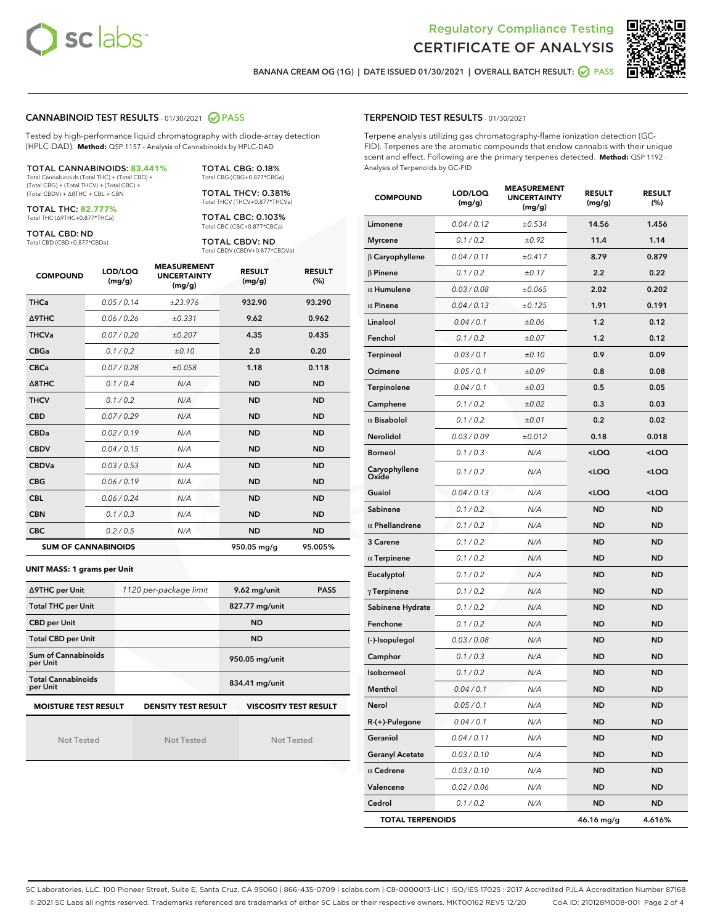



BANANA CREAM OG (1G) | DATE ISSUED 01/30/2021 | OVERALL BATCH RESULT: @ PASS

## CANNABINOID TEST RESULTS - 01/30/2021 2 PASS

Tested by high-performance liquid chromatography with diode-array detection (HPLC-DAD). **Method:** QSP 1157 - Analysis of Cannabinoids by HPLC-DAD

#### TOTAL CANNABINOIDS: **83.441%** Total Cannabinoids (Total THC) + (Total CBD) +

(Total CBG) + (Total THCV) + (Total CBC) + (Total CBDV) + ∆8THC + CBL + CBN

TOTAL THC: **82.777%** Total THC (∆9THC+0.877\*THCa)

TOTAL CBD: ND

Total CBD (CBD+0.877\*CBDa)

TOTAL CBG: 0.18% Total CBG (CBG+0.877\*CBGa) TOTAL THCV: 0.381%

Total THCV (THCV+0.877\*THCVa)

TOTAL CBC: 0.103% Total CBC (CBC+0.877\*CBCa)

TOTAL CBDV: ND Total CBDV (CBDV+0.877\*CBDVa)

| <b>COMPOUND</b>  | LOD/LOQ<br>(mg/g)          | <b>MEASUREMENT</b><br><b>UNCERTAINTY</b><br>(mg/g) | <b>RESULT</b><br>(mg/g) | <b>RESULT</b><br>(%) |
|------------------|----------------------------|----------------------------------------------------|-------------------------|----------------------|
| <b>THCa</b>      | 0.05/0.14                  | ±23.976                                            | 932.90                  | 93.290               |
| <b>A9THC</b>     | 0.06 / 0.26                | ±0.331                                             | 9.62                    | 0.962                |
| <b>THCVa</b>     | 0.07 / 0.20                | ±0.207                                             | 4.35                    | 0.435                |
| <b>CBGa</b>      | 0.1/0.2                    | ±0.10                                              | 2.0                     | 0.20                 |
| <b>CBCa</b>      | 0.07/0.28                  | ±0.058                                             | 1.18                    | 0.118                |
| $\triangle$ 8THC | 0.1/0.4                    | N/A                                                | <b>ND</b>               | <b>ND</b>            |
| <b>THCV</b>      | 0.1 / 0.2                  | N/A                                                | <b>ND</b>               | <b>ND</b>            |
| <b>CBD</b>       | 0.07/0.29                  | N/A                                                | <b>ND</b>               | <b>ND</b>            |
| <b>CBDa</b>      | 0.02/0.19                  | N/A                                                | <b>ND</b>               | <b>ND</b>            |
| <b>CBDV</b>      | 0.04 / 0.15                | N/A                                                | <b>ND</b>               | <b>ND</b>            |
| <b>CBDVa</b>     | 0.03/0.53                  | N/A                                                | <b>ND</b>               | <b>ND</b>            |
| <b>CBG</b>       | 0.06/0.19                  | N/A                                                | <b>ND</b>               | <b>ND</b>            |
| <b>CBL</b>       | 0.06 / 0.24                | N/A                                                | <b>ND</b>               | <b>ND</b>            |
| <b>CBN</b>       | 0.1/0.3                    | N/A                                                | <b>ND</b>               | <b>ND</b>            |
| <b>CBC</b>       | 0.2 / 0.5                  | N/A                                                | <b>ND</b>               | <b>ND</b>            |
|                  | <b>SUM OF CANNABINOIDS</b> |                                                    | 950.05 mg/g             | 95.005%              |

#### **UNIT MASS: 1 grams per Unit**

| ∆9THC per Unit                                                                            | 1120 per-package limit | 9.62 mg/unit<br><b>PASS</b> |  |  |
|-------------------------------------------------------------------------------------------|------------------------|-----------------------------|--|--|
| <b>Total THC per Unit</b>                                                                 |                        | 827.77 mg/unit              |  |  |
| <b>CBD per Unit</b>                                                                       |                        | <b>ND</b>                   |  |  |
| <b>Total CBD per Unit</b>                                                                 |                        | <b>ND</b>                   |  |  |
| Sum of Cannabinoids<br>per Unit                                                           |                        | 950.05 mg/unit              |  |  |
| <b>Total Cannabinoids</b><br>per Unit                                                     |                        | 834.41 mg/unit              |  |  |
| <b>MOISTURE TEST RESULT</b><br><b>VISCOSITY TEST RESULT</b><br><b>DENSITY TEST RESULT</b> |                        |                             |  |  |

Not Tested

Not Tested

Not Tested

#### TERPENOID TEST RESULTS - 01/30/2021

Terpene analysis utilizing gas chromatography-flame ionization detection (GC-FID). Terpenes are the aromatic compounds that endow cannabis with their unique scent and effect. Following are the primary terpenes detected. **Method:** QSP 1192 - Analysis of Terpenoids by GC-FID

| <b>COMPOUND</b>         | LOD/LOQ<br>(mg/g) | <b>MEASUREMENT</b><br><b>UNCERTAINTY</b><br>(mg/g) | <b>RESULT</b><br>(mg/g)                         | <b>RESULT</b><br>$(\%)$ |
|-------------------------|-------------------|----------------------------------------------------|-------------------------------------------------|-------------------------|
| Limonene                | 0.04 / 0.12       | ±0.534                                             | 14.56                                           | 1.456                   |
| <b>Myrcene</b>          | 0.1 / 0.2         | ±0.92                                              | 11.4                                            | 1.14                    |
| $\beta$ Caryophyllene   | 0.04 / 0.11       | ±0.417                                             | 8.79                                            | 0.879                   |
| $\beta$ Pinene          | 0.1 / 0.2         | ±0.17                                              | 2.2                                             | 0.22                    |
| $\alpha$ Humulene       | 0.03 / 0.08       | ±0.065                                             | 2.02                                            | 0.202                   |
| $\alpha$ Pinene         | 0.04 / 0.13       | ±0.125                                             | 1.91                                            | 0.191                   |
| Linalool                | 0.04 / 0.1        | ±0.06                                              | 1.2                                             | 0.12                    |
| Fenchol                 | 0.1 / 0.2         | ±0.07                                              | 1.2                                             | 0.12                    |
| Terpineol               | 0.03 / 0.1        | ±0.10                                              | 0.9                                             | 0.09                    |
| Ocimene                 | 0.05 / 0.1        | ±0.09                                              | 0.8                                             | 0.08                    |
| Terpinolene             | 0.04 / 0.1        | ±0.03                                              | 0.5                                             | 0.05                    |
| Camphene                | 0.1 / 0.2         | ±0.02                                              | 0.3                                             | 0.03                    |
| $\alpha$ Bisabolol      | 0.1 / 0.2         | ±0.01                                              | 0.2                                             | 0.02                    |
| Nerolidol               | 0.03 / 0.09       | ±0.012                                             | 0.18                                            | 0.018                   |
| <b>Borneol</b>          | 0.1 / 0.3         | N/A                                                | <loq< td=""><td><loq< td=""></loq<></td></loq<> | <loq< td=""></loq<>     |
| Caryophyllene<br>Oxide  | 0.1 / 0.2         | N/A                                                | <loq< td=""><td><loq< td=""></loq<></td></loq<> | <loq< td=""></loq<>     |
| Guaiol                  | 0.04 / 0.13       | N/A                                                | <loq< td=""><td><loq< td=""></loq<></td></loq<> | <loq< td=""></loq<>     |
| Sabinene                | 0.1 / 0.2         | N/A                                                | ND                                              | ND                      |
| $\alpha$ Phellandrene   | 0.1 / 0.2         | N/A                                                | <b>ND</b>                                       | <b>ND</b>               |
| 3 Carene                | 0.1 / 0.2         | N/A                                                | <b>ND</b>                                       | <b>ND</b>               |
| $\alpha$ Terpinene      | 0.1 / 0.2         | N/A                                                | <b>ND</b>                                       | <b>ND</b>               |
| Eucalyptol              | 0.1 / 0.2         | N/A                                                | ND                                              | ND                      |
| $\gamma$ Terpinene      | 0.1 / 0.2         | N/A                                                | ND                                              | <b>ND</b>               |
| Sabinene Hydrate        | 0.1 / 0.2         | N/A                                                | ND                                              | ND                      |
| Fenchone                | 0.1 / 0.2         | N/A                                                | ND                                              | <b>ND</b>               |
| (-)-Isopulegol          | 0.03 / 0.08       | N/A                                                | <b>ND</b>                                       | <b>ND</b>               |
| Camphor                 | 0.1 / 0.3         | N/A                                                | ND                                              | <b>ND</b>               |
| Isoborneol              | 0.1 / 0.2         | N/A                                                | ND                                              | ND                      |
| Menthol                 | 0.04 / 0.1        | N/A                                                | <b>ND</b>                                       | <b>ND</b>               |
| Nerol                   | 0.05 / 0.1        | N/A                                                | <b>ND</b>                                       | <b>ND</b>               |
| R-(+)-Pulegone          | 0.04 / 0.1        | N/A                                                | ND                                              | ND                      |
| Geraniol                | 0.04 / 0.11       | N/A                                                | ND                                              | ND                      |
| <b>Geranyl Acetate</b>  | 0.03 / 0.10       | N/A                                                | ND                                              | ND                      |
| $\alpha$ Cedrene        | 0.03 / 0.10       | N/A                                                | ND                                              | ND                      |
| Valencene               | 0.02 / 0.06       | N/A                                                | ND                                              | ND                      |
| Cedrol                  | 0.1 / 0.2         | N/A                                                | ND                                              | ND                      |
| <b>TOTAL TERPENOIDS</b> |                   |                                                    | 46.16 mg/g                                      | 4.616%                  |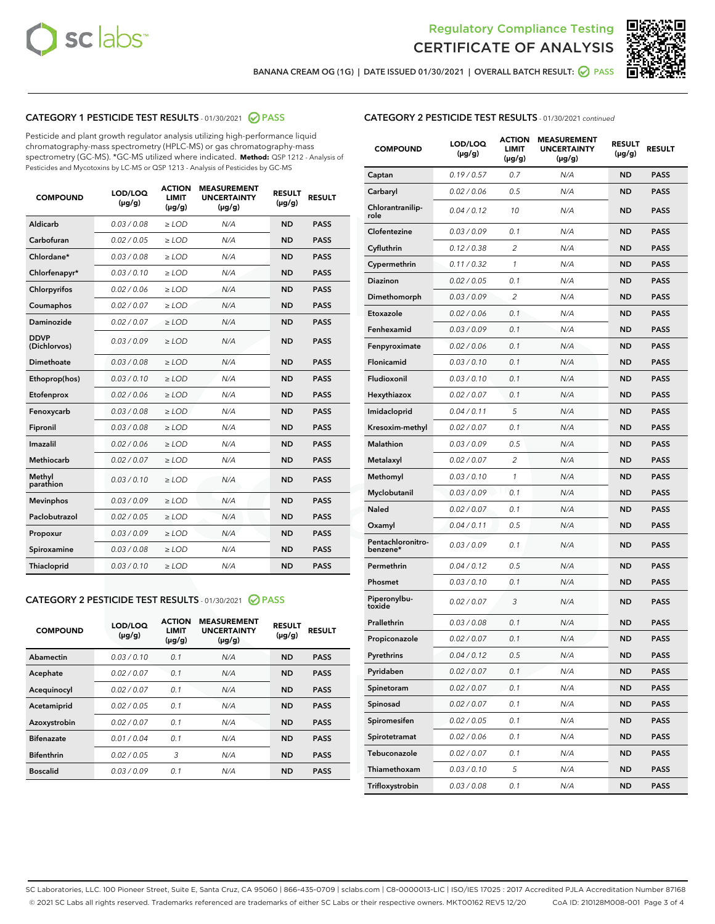



BANANA CREAM OG (1G) | DATE ISSUED 01/30/2021 | OVERALL BATCH RESULT: @ PASS

# CATEGORY 1 PESTICIDE TEST RESULTS - 01/30/2021 @ PASS

Pesticide and plant growth regulator analysis utilizing high-performance liquid chromatography-mass spectrometry (HPLC-MS) or gas chromatography-mass spectrometry (GC-MS). \*GC-MS utilized where indicated. **Method:** QSP 1212 - Analysis of Pesticides and Mycotoxins by LC-MS or QSP 1213 - Analysis of Pesticides by GC-MS

| <b>COMPOUND</b>             | LOD/LOQ<br>$(\mu g/g)$ | <b>ACTION</b><br><b>LIMIT</b><br>$(\mu g/g)$ | <b>MEASUREMENT</b><br><b>UNCERTAINTY</b><br>$(\mu g/g)$ | <b>RESULT</b><br>$(\mu g/g)$ | <b>RESULT</b> |
|-----------------------------|------------------------|----------------------------------------------|---------------------------------------------------------|------------------------------|---------------|
| Aldicarb                    | 0.03 / 0.08            | $\ge$ LOD                                    | N/A                                                     | <b>ND</b>                    | <b>PASS</b>   |
| Carbofuran                  | 0.02 / 0.05            | $\ge$ LOD                                    | N/A                                                     | <b>ND</b>                    | <b>PASS</b>   |
| Chlordane*                  | 0.03 / 0.08            | $\ge$ LOD                                    | N/A                                                     | <b>ND</b>                    | <b>PASS</b>   |
| Chlorfenapyr*               | 0.03/0.10              | $\ge$ LOD                                    | N/A                                                     | <b>ND</b>                    | <b>PASS</b>   |
| Chlorpyrifos                | 0.02 / 0.06            | $\ge$ LOD                                    | N/A                                                     | <b>ND</b>                    | <b>PASS</b>   |
| Coumaphos                   | 0.02 / 0.07            | $\ge$ LOD                                    | N/A                                                     | <b>ND</b>                    | <b>PASS</b>   |
| Daminozide                  | 0.02 / 0.07            | $\ge$ LOD                                    | N/A                                                     | <b>ND</b>                    | <b>PASS</b>   |
| <b>DDVP</b><br>(Dichlorvos) | 0.03/0.09              | $\ge$ LOD                                    | N/A                                                     | <b>ND</b>                    | <b>PASS</b>   |
| Dimethoate                  | 0.03 / 0.08            | $>$ LOD                                      | N/A                                                     | <b>ND</b>                    | <b>PASS</b>   |
| Ethoprop(hos)               | 0.03/0.10              | $\ge$ LOD                                    | N/A                                                     | <b>ND</b>                    | <b>PASS</b>   |
| Etofenprox                  | 0.02/0.06              | $>$ LOD                                      | N/A                                                     | <b>ND</b>                    | <b>PASS</b>   |
| Fenoxycarb                  | 0.03 / 0.08            | $\geq$ LOD                                   | N/A                                                     | <b>ND</b>                    | <b>PASS</b>   |
| Fipronil                    | 0.03 / 0.08            | $>$ LOD                                      | N/A                                                     | <b>ND</b>                    | <b>PASS</b>   |
| Imazalil                    | 0.02 / 0.06            | $\ge$ LOD                                    | N/A                                                     | <b>ND</b>                    | <b>PASS</b>   |
| <b>Methiocarb</b>           | 0.02 / 0.07            | $\ge$ LOD                                    | N/A                                                     | <b>ND</b>                    | <b>PASS</b>   |
| Methyl<br>parathion         | 0.03/0.10              | $\ge$ LOD                                    | N/A                                                     | <b>ND</b>                    | <b>PASS</b>   |
| <b>Mevinphos</b>            | 0.03/0.09              | $\ge$ LOD                                    | N/A                                                     | <b>ND</b>                    | <b>PASS</b>   |
| Paclobutrazol               | 0.02 / 0.05            | $\ge$ LOD                                    | N/A                                                     | <b>ND</b>                    | <b>PASS</b>   |
| Propoxur                    | 0.03/0.09              | $\ge$ LOD                                    | N/A                                                     | <b>ND</b>                    | <b>PASS</b>   |
| Spiroxamine                 | 0.03 / 0.08            | $\ge$ LOD                                    | N/A                                                     | <b>ND</b>                    | <b>PASS</b>   |
| <b>Thiacloprid</b>          | 0.03/0.10              | $\ge$ LOD                                    | N/A                                                     | <b>ND</b>                    | <b>PASS</b>   |

#### CATEGORY 2 PESTICIDE TEST RESULTS - 01/30/2021 @ PASS

| <b>COMPOUND</b>   | LOD/LOQ<br>$(\mu g/g)$ | <b>ACTION</b><br><b>LIMIT</b><br>$(\mu g/g)$ | <b>MEASUREMENT</b><br><b>UNCERTAINTY</b><br>$(\mu g/g)$ | <b>RESULT</b><br>$(\mu g/g)$ | <b>RESULT</b> |  |
|-------------------|------------------------|----------------------------------------------|---------------------------------------------------------|------------------------------|---------------|--|
| Abamectin         | 0.03/0.10              | 0.1                                          | N/A                                                     | <b>ND</b>                    | <b>PASS</b>   |  |
| Acephate          | 0.02/0.07              | 0.1                                          | N/A                                                     | <b>ND</b>                    | <b>PASS</b>   |  |
| Acequinocyl       | 0.02/0.07              | 0.1                                          | N/A                                                     | <b>ND</b>                    | <b>PASS</b>   |  |
| Acetamiprid       | 0.02/0.05              | 0.1                                          | N/A                                                     | <b>ND</b>                    | <b>PASS</b>   |  |
| Azoxystrobin      | 0.02/0.07              | 0.1                                          | N/A                                                     | <b>ND</b>                    | <b>PASS</b>   |  |
| <b>Bifenazate</b> | 0.01/0.04              | 0.1                                          | N/A                                                     | <b>ND</b>                    | <b>PASS</b>   |  |
| <b>Bifenthrin</b> | 0.02/0.05              | 3                                            | N/A                                                     | <b>ND</b>                    | <b>PASS</b>   |  |
| <b>Boscalid</b>   | 0.03/0.09              | 0.1                                          | N/A                                                     | <b>ND</b>                    | <b>PASS</b>   |  |
|                   |                        |                                              |                                                         |                              |               |  |

# CATEGORY 2 PESTICIDE TEST RESULTS - 01/30/2021 continued

| <b>COMPOUND</b>               | LOD/LOQ<br>$(\mu g/g)$ | <b>ACTION</b><br>LIMIT<br>$(\mu g/g)$ | <b>MEASUREMENT</b><br><b>UNCERTAINTY</b><br>(µg/g) | <b>RESULT</b><br>(µg/g) | <b>RESULT</b> |
|-------------------------------|------------------------|---------------------------------------|----------------------------------------------------|-------------------------|---------------|
| Captan                        | 0.19/0.57              | 0.7                                   | N/A                                                | ND                      | <b>PASS</b>   |
| Carbaryl                      | 0.02 / 0.06            | 0.5                                   | N/A                                                | ND                      | <b>PASS</b>   |
| Chlorantranilip-<br>role      | 0.04 / 0.12            | 10                                    | N/A                                                | ND                      | <b>PASS</b>   |
| Clofentezine                  | 0.03 / 0.09            | 0.1                                   | N/A                                                | ND                      | <b>PASS</b>   |
| Cyfluthrin                    | 0.12 / 0.38            | 2                                     | N/A                                                | ND                      | <b>PASS</b>   |
| Cypermethrin                  | 0.11/0.32              | 1                                     | N/A                                                | ND                      | <b>PASS</b>   |
| Diazinon                      | 0.02 / 0.05            | 0.1                                   | N/A                                                | ND                      | <b>PASS</b>   |
| Dimethomorph                  | 0.03/0.09              | 2                                     | N/A                                                | ND                      | <b>PASS</b>   |
| Etoxazole                     | 0.02 / 0.06            | 0.1                                   | N/A                                                | ND                      | <b>PASS</b>   |
| Fenhexamid                    | 0.03/0.09              | 0.1                                   | N/A                                                | ND                      | <b>PASS</b>   |
| Fenpyroximate                 | 0.02 / 0.06            | 0.1                                   | N/A                                                | ND                      | <b>PASS</b>   |
| Flonicamid                    | 0.03 / 0.10            | 0.1                                   | N/A                                                | ND                      | <b>PASS</b>   |
| Fludioxonil                   | 0.03 / 0.10            | 0.1                                   | N/A                                                | ND                      | <b>PASS</b>   |
| Hexythiazox                   | 0.02 / 0.07            | 0.1                                   | N/A                                                | ND                      | <b>PASS</b>   |
| Imidacloprid                  | 0.04 / 0.11            | 5                                     | N/A                                                | ND                      | <b>PASS</b>   |
| Kresoxim-methyl               | 0.02 / 0.07            | 0.1                                   | N/A                                                | ND                      | <b>PASS</b>   |
| <b>Malathion</b>              | 0.03 / 0.09            | 0.5                                   | N/A                                                | ND                      | <b>PASS</b>   |
| Metalaxyl                     | 0.02 / 0.07            | 2                                     | N/A                                                | ND                      | <b>PASS</b>   |
| Methomyl                      | 0.03 / 0.10            | 1                                     | N/A                                                | ND                      | <b>PASS</b>   |
| Myclobutanil                  | 0.03/0.09              | 0.1                                   | N/A                                                | ND                      | <b>PASS</b>   |
| Naled                         | 0.02 / 0.07            | 0.1                                   | N/A                                                | ND                      | <b>PASS</b>   |
| Oxamyl                        | 0.04 / 0.11            | 0.5                                   | N/A                                                | ND                      | <b>PASS</b>   |
| Pentachloronitro-<br>benzene* | 0.03 / 0.09            | 0.1                                   | N/A                                                | ND                      | <b>PASS</b>   |
| Permethrin                    | 0.04 / 0.12            | 0.5                                   | N/A                                                | ND                      | <b>PASS</b>   |
| Phosmet                       | 0.03 / 0.10            | 0.1                                   | N/A                                                | ND                      | PASS          |
| Piperonylbu-<br>toxide        | 0.02 / 0.07            | 3                                     | N/A                                                | ND                      | <b>PASS</b>   |
| Prallethrin                   | 0.03 / 0.08            | 0.1                                   | N/A                                                | ND                      | <b>PASS</b>   |
| Propiconazole                 | 0.02 / 0.07            | 0.1                                   | N/A                                                | ND                      | <b>PASS</b>   |
| Pyrethrins                    | 0.04 / 0.12            | 0.5                                   | N/A                                                | ND                      | PASS          |
| Pyridaben                     | 0.02 / 0.07            | 0.1                                   | N/A                                                | ND                      | <b>PASS</b>   |
| Spinetoram                    | 0.02 / 0.07            | 0.1                                   | N/A                                                | ND                      | <b>PASS</b>   |
| Spinosad                      | 0.02 / 0.07            | 0.1                                   | N/A                                                | ND                      | <b>PASS</b>   |
| Spiromesifen                  | 0.02 / 0.05            | 0.1                                   | N/A                                                | ND                      | <b>PASS</b>   |
| Spirotetramat                 | 0.02 / 0.06            | 0.1                                   | N/A                                                | ND                      | <b>PASS</b>   |
| Tebuconazole                  | 0.02 / 0.07            | 0.1                                   | N/A                                                | ND                      | <b>PASS</b>   |
| Thiamethoxam                  | 0.03 / 0.10            | 5                                     | N/A                                                | ND                      | <b>PASS</b>   |
| Trifloxystrobin               | 0.03 / 0.08            | 0.1                                   | N/A                                                | ND                      | <b>PASS</b>   |